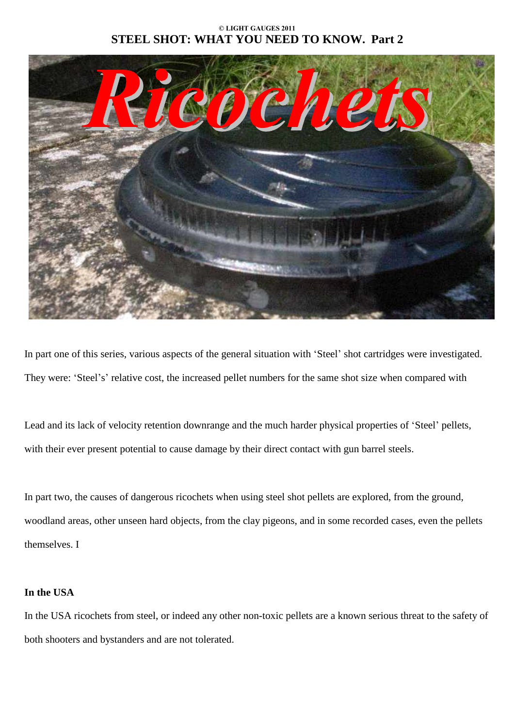### **© LIGHT GAUGES 2011 STEEL SHOT: WHAT YOU NEED TO KNOW. Part 2**



In part one of this series, various aspects of the general situation with 'Steel' shot cartridges were investigated. They were: 'Steel's' relative cost, the increased pellet numbers for the same shot size when compared with

Lead and its lack of velocity retention downrange and the much harder physical properties of 'Steel' pellets, with their ever present potential to cause damage by their direct contact with gun barrel steels.

In part two, the causes of dangerous ricochets when using steel shot pellets are explored, from the ground, woodland areas, other unseen hard objects, from the clay pigeons, and in some recorded cases, even the pellets themselves. I

### **In the USA**

In the USA ricochets from steel, or indeed any other non-toxic pellets are a known serious threat to the safety of both shooters and bystanders and are not tolerated.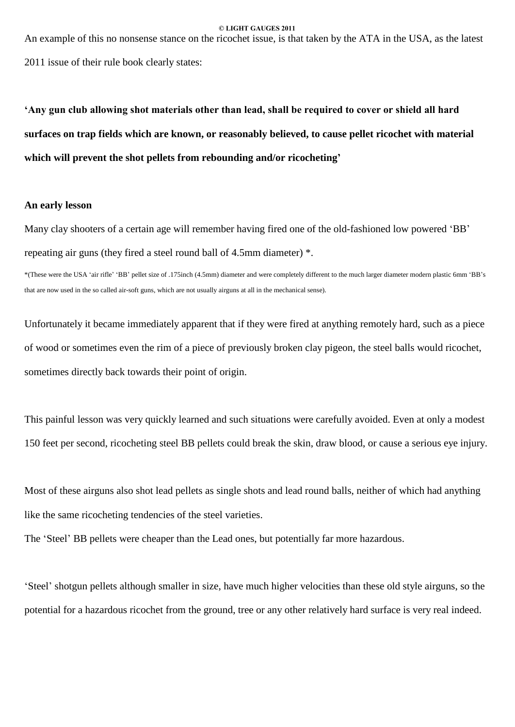An example of this no nonsense stance on the ricochet issue, is that taken by the ATA in the USA, as the latest

2011 issue of their rule book clearly states:

'Any gun club allowing shot materials other than lead, shall be required to cover or shield all hard **surfaces on trap fields which are known, or reasonably believed, to cause pellet ricochet with material which will prevent the shot pellets from rebounding and/or ricochetingí**

#### **An early lesson**

Many clay shooters of a certain age will remember having fired one of the old-fashioned low powered 'BB' repeating air guns (they fired a steel round ball of 4.5mm diameter) \*.

\*(These were the USA 'air rifle' 'BB' pellet size of .175inch (4.5mm) diameter and were completely different to the much larger diameter modern plastic 6mm 'BB's that are now used in the so called air-soft guns, which are not usually airguns at all in the mechanical sense).

Unfortunately it became immediately apparent that if they were fired at anything remotely hard, such as a piece of wood or sometimes even the rim of a piece of previously broken clay pigeon, the steel balls would ricochet, sometimes directly back towards their point of origin.

This painful lesson was very quickly learned and such situations were carefully avoided. Even at only a modest 150 feet per second, ricocheting steel BB pellets could break the skin, draw blood, or cause a serious eye injury.

Most of these airguns also shot lead pellets as single shots and lead round balls, neither of which had anything like the same ricocheting tendencies of the steel varieties.

The 'Steel' BB pellets were cheaper than the Lead ones, but potentially far more hazardous.

Steel' shotgun pellets although smaller in size, have much higher velocities than these old style airguns, so the potential for a hazardous ricochet from the ground, tree or any other relatively hard surface is very real indeed.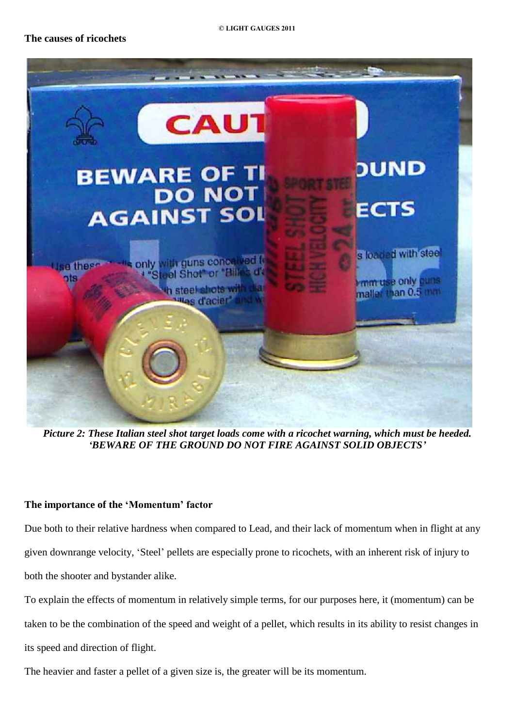

*Picture 2: These Italian steel shot target loads come with a ricochet warning, which must be heeded. ëBEWARE OF THE GROUND DO NOT FIRE AGAINST SOLID OBJECTSí*

## **The importance of the 'Momentum' factor**

Due both to their relative hardness when compared to Lead, and their lack of momentum when in flight at any given downrange velocity, 'Steel' pellets are especially prone to ricochets, with an inherent risk of injury to both the shooter and bystander alike.

To explain the effects of momentum in relatively simple terms, for our purposes here, it (momentum) can be taken to be the combination of the speed and weight of a pellet, which results in its ability to resist changes in its speed and direction of flight.

The heavier and faster a pellet of a given size is, the greater will be its momentum.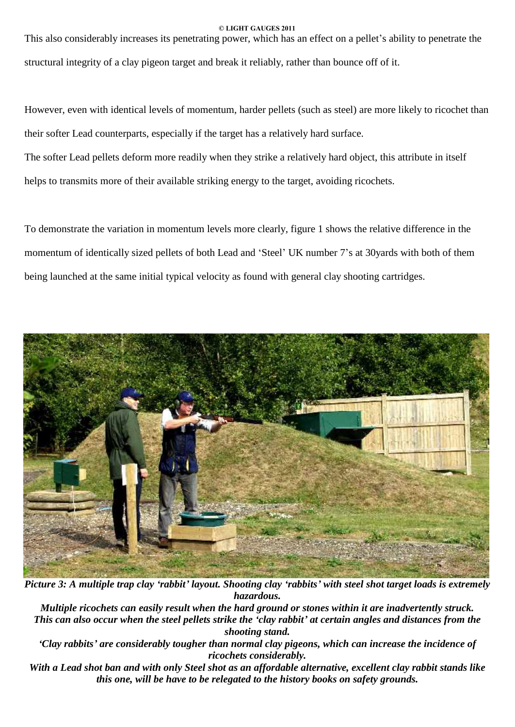This also considerably increases its penetrating power, which has an effect on a pellet's ability to penetrate the structural integrity of a clay pigeon target and break it reliably, rather than bounce off of it.

However, even with identical levels of momentum, harder pellets (such as steel) are more likely to ricochet than their softer Lead counterparts, especially if the target has a relatively hard surface.

The softer Lead pellets deform more readily when they strike a relatively hard object, this attribute in itself helps to transmits more of their available striking energy to the target, avoiding ricochets.

To demonstrate the variation in momentum levels more clearly, figure 1 shows the relative difference in the momentum of identically sized pellets of both Lead and 'Steel' UK number 7's at 30yards with both of them being launched at the same initial typical velocity as found with general clay shooting cartridges.



Picture 3: A multiple trap clay 'rabbit' layout. Shooting clay 'rabbits' with steel shot target loads is extremely *hazardous.*

*Multiple ricochets can easily result when the hard ground or stones within it are inadvertently struck.* This can also occur when the steel pellets strike the 'clay rabbit' at certain angles and distances from the *shooting stand.*

*ëClay rabbitsí are considerably tougher than normal clay pigeons, which can increase the incidence of ricochets considerably.*

With a Lead shot ban and with only Steel shot as an affordable alternative, excellent clay rabbit stands like *this one, will be have to be relegated to the history books on safety grounds.*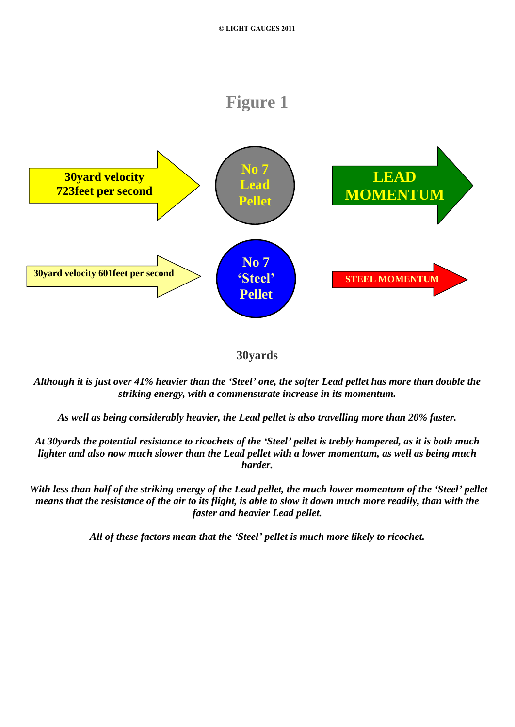## **Figure 1**



## **30yards**

Although it is just over 41% heavier than the 'Steel' one, the softer Lead pellet has more than double the *striking energy, with a commensurate increase in itsmomentum.*

*As well as being considerably heavier, the Lead pellet is also travelling more than 20% faster.*

At 30yards the potential resistance to ricochets of the 'Steel' pellet is trebly hampered, as it is both much lighter and also now much slower than the Lead pellet with a lower momentum, as well as being much *harder.*

With less than half of the striking energy of the Lead pellet, the much lower momentum of the 'Steel' pellet means that the resistance of the air to its flight, is able to slow it down much more readily, than with the *faster and heavier Lead pellet.*

*All of these factors mean that the ëSteelí pellet is much more likely to ricochet.*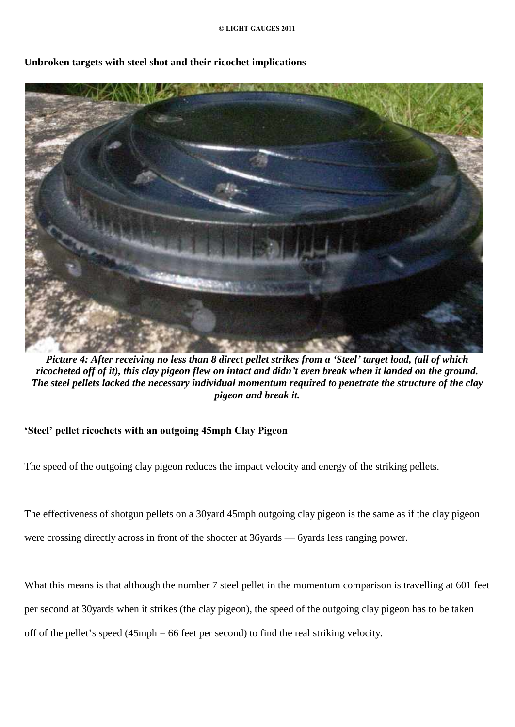

## **Unbroken targets with steel shot and their ricochet implications**

Picture 4: After receiving no less than 8 direct pellet strikes from a 'Steel' target load, (all of which ricocheted off of it), this clay pigeon flew on intact and didn't even break when it landed on the ground. *The steel pellets lacked the necessary individual momentum required to penetrate the structure of the clay pigeon and break it.*

## **ëSteelí pellet ricochets with an outgoing 45mph Clay Pigeon**

The speed of the outgoing clay pigeon reduces the impact velocity and energy of the striking pellets.

The effectiveness of shotgun pellets on a 30yard 45mph outgoing clay pigeon is the same as if the clay pigeon were crossing directly across in front of the shooter at 36yards  $-$  6yards less ranging power.

What this means is that although the number 7 steel pellet in the momentum comparison is travelling at 601 feet per second at 30yards when it strikes (the clay pigeon), the speed of the outgoing clay pigeon has to be taken off of the pellet's speed  $(45 \text{ mph} = 66 \text{ feet per second})$  to find the real striking velocity.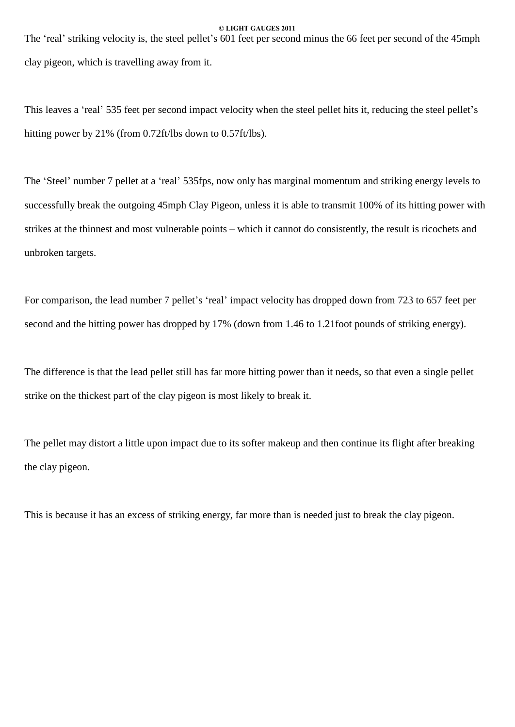The 'real' striking velocity is, the steel pellet's 601 feet per second minus the 66 feet per second of the 45mph clay pigeon, which is travelling away from it.

This leaves a 'real' 535 feet per second impact velocity when the steel pellet hits it, reducing the steel pellet's hitting power by 21% (from 0.72ft/lbs down to 0.57ft/lbs).

The 'Steel' number 7 pellet at a 'real' 535fps, now only has marginal momentum and striking energy levels to successfully break the outgoing 45mph Clay Pigeon, unless it is able to transmit 100% of its hitting power with strikes at the thinnest and most vulnerable points – which it cannot do consistently, the result is ricochets and unbroken targets.

For comparison, the lead number 7 pellet's 'real' impact velocity has dropped down from 723 to 657 feet per second and the hitting power has dropped by 17% (down from 1.46 to 1.21foot pounds of striking energy).

The difference is that the lead pellet still has far more hitting power than it needs, so that even a single pellet strike on the thickest part of the clay pigeon is most likely to break it.

The pellet may distort a little upon impact due to its softer makeup and then continue its flight after breaking the clay pigeon.

This is because it has an excess of striking energy, far more than is needed just to break the clay pigeon.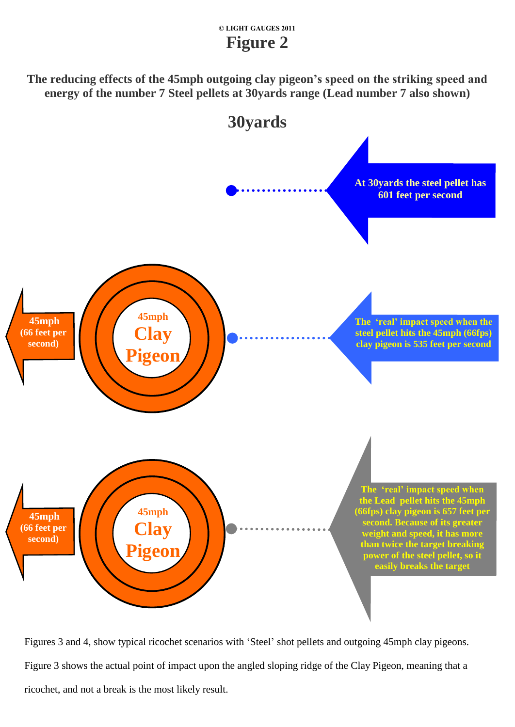## **© LIGHT GAUGES 2011 Figure 2**

**The reducing effects of the 45mph outgoing clay pigeonís speed on the striking speed and energy of the number 7 Steel pellets at 30yards range (Lead number 7 also shown)**



Figures 3 and 4, show typical ricochet scenarios with 'Steel' shot pellets and outgoing 45mph clay pigeons. Figure 3 shows the actual point of impact upon the angled sloping ridge of the Clay Pigeon, meaning that a ricochet, and not a break is the most likely result.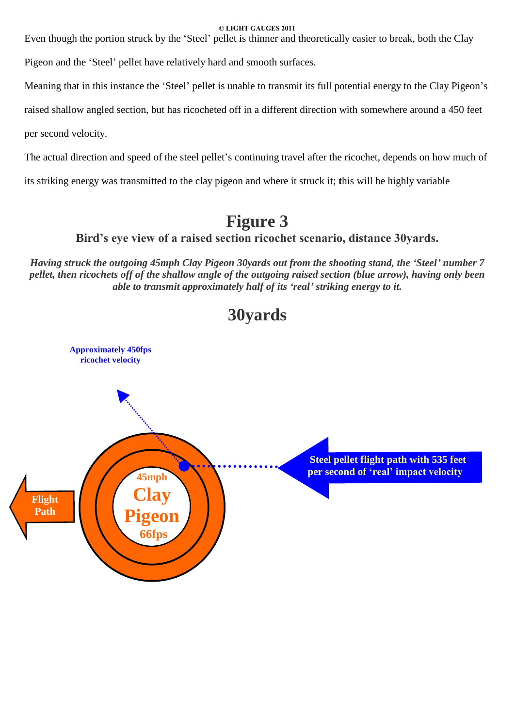Even though the portion struck by the 'Steel' pellet is thinner and theoretically easier to break, both the Clay

Pigeon and the 'Steel' pellet have relatively hard and smooth surfaces.

Meaning that in this instance the 'Steel' pellet is unable to transmit its full potential energy to the Clay Pigeon's

raised shallow angled section, but has ricocheted off in a different direction with somewhere around a 450 feet

per second velocity.

The actual direction and speed of the steel pellet's continuing travel after the ricochet, depends on how much of

its striking energy was transmitted to the clay pigeon and where it struck it; **t**his will be highly variable

# **Figure 3**

**Birdís eye view of a raised section ricochet scenario, distance 30yards.**

Having struck the outgoing 45mph Clay Pigeon 30yards out from the shooting stand, the 'Steel' number 7 pellet, then ricochets off of the shallow angle of the outgoing raised section (blue arrow), having only been *able to transmit approximately half of its ërealí striking energy to it.*



# **30yards**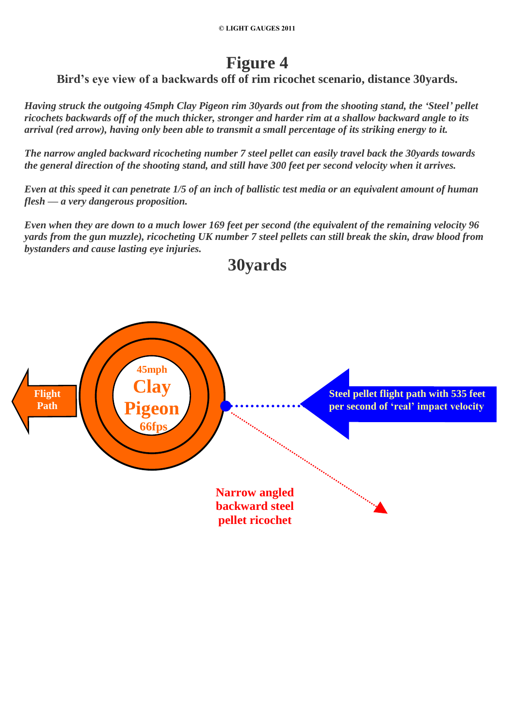# **Figure 4**

**Birdís eye view of a backwards off of rim ricochetscenario, distance 30yards.**

Having struck the outgoing 45mph Clay Pigeon rim 30yards out from the shooting stand, the 'Steel' pellet ricochets backwards off of the much thicker, stronger and harder rim at a shallow backward angle to its arrival (red arrow), having only been able to transmit a small percentage of its striking energy to it.

*The narrow angled backward ricocheting number 7 steel pellet can easily travel back the 30yards towards* the general direction of the shooting stand, and still have 300 feet per second velocity when it arrives.

Even at this speed it can penetrate 1/5 of an inch of ballistic test media or an equivalent amount of human *flesh* — *a very dangerous proposition.* 

Even when they are down to a much lower 169 feet per second (the equivalent of the remaining velocity 96 yards from the gun muzzle), ricocheting UK number 7 steel pellets can still break the skin, draw blood from *bystanders and cause lasting eye injuries.*

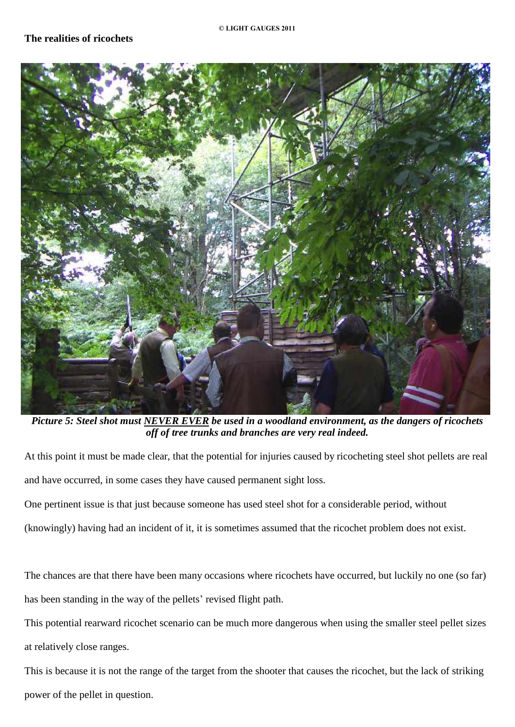

Picture 5: Steel shot must NEVER EVER be used in a woodland environment, as the dangers of ricochets *off of tree trunks and branches are very real indeed.*

At this point it must be made clear, that the potential for injuries caused by ricocheting steel shot pellets are real and have occurred, in some cases they have caused permanent sight loss.

One pertinent issue is that just because someone has used steel shot for a considerable period, without

(knowingly) having had an incident of it, it is sometimes assumed that the ricochet problem does notexist.

The chances are that there have been many occasions where ricochets have occurred, but luckily no one (so far) has been standing in the way of the pellets' revised flight path.

This potential rearward ricochet scenario can be much more dangerous when using the smaller steel pellet sizes at relatively close ranges.

This is because it is not the range of the target from the shooter that causes the ricochet, but the lack of striking power of the pellet in question.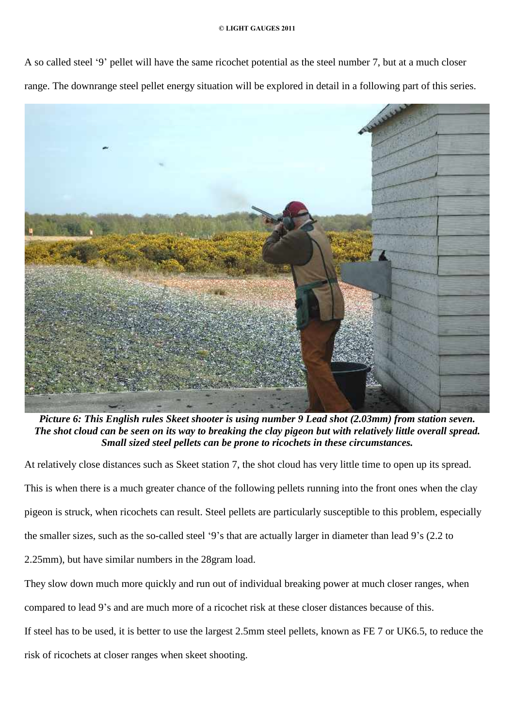A so called steel '9' pellet will have the same ricochet potential as the steel number 7, but at a much closer range. The downrange steel pellet energy situation will be explored in detail in a following part of this series.



*Picture 6: This English rules Skeet shooter is using number 9 Lead shot (2.03mm) from station seven.* The shot cloud can be seen on its way to breaking the clay pigeon but with relatively little overall spread. *Small sized steel pellets can be prone to ricochets in these circumstances.*

At relatively close distances such as Skeet station 7, the shot cloud has very little time to open up its spread. This is when there is a much greater chance of the following pellets running into the front ones when the clay pigeon is struck, when ricochets can result. Steel pellets are particularly susceptible to this problem, especially the smaller sizes, such as the so-called steel '9's that are actually larger in diameter than lead 9's (2.2 to 2.25mm), but have similar numbers in the 28gram load.

They slow down much more quickly and run out of individual breaking power at much closer ranges, when compared to lead 9's and are much more of a ricochet risk at these closer distances because of this. If steel has to be used, it is better to use the largest 2.5mm steel pellets, known as FE 7 or UK6.5, to reduce the risk of ricochets at closer ranges when skeet shooting.